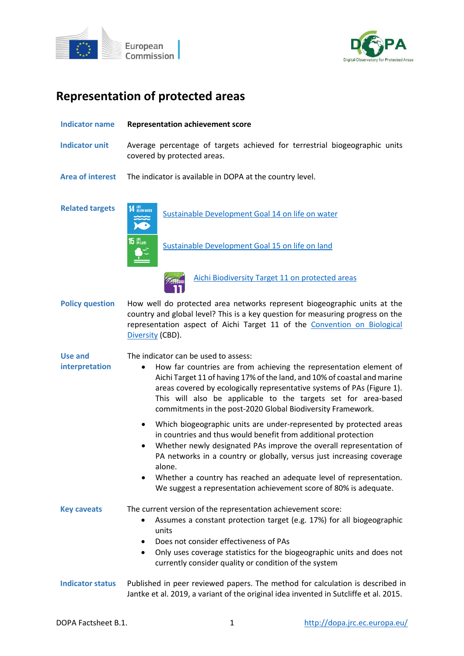



# **Representation of protected areas**

| <b>Indicator name</b>            | <b>Representation achievement score</b>                                                                                                                                                                                                                                                                                                                                                                         |  |  |  |  |
|----------------------------------|-----------------------------------------------------------------------------------------------------------------------------------------------------------------------------------------------------------------------------------------------------------------------------------------------------------------------------------------------------------------------------------------------------------------|--|--|--|--|
| <b>Indicator unit</b>            | Average percentage of targets achieved for terrestrial biogeographic units<br>covered by protected areas.                                                                                                                                                                                                                                                                                                       |  |  |  |  |
| <b>Area of interest</b>          | The indicator is available in DOPA at the country level.                                                                                                                                                                                                                                                                                                                                                        |  |  |  |  |
| <b>Related targets</b>           | 14 LIFE BELOW WATER<br>Sustainable Development Goal 14 on life on water                                                                                                                                                                                                                                                                                                                                         |  |  |  |  |
|                                  | $15$ on land $\overline{\phantom{a}}$<br>Sustainable Development Goal 15 on life on land                                                                                                                                                                                                                                                                                                                        |  |  |  |  |
|                                  | Aichi Biodiversity Target 11 on protected areas                                                                                                                                                                                                                                                                                                                                                                 |  |  |  |  |
| <b>Policy question</b>           | How well do protected area networks represent biogeographic units at the<br>country and global level? This is a key question for measuring progress on the<br>representation aspect of Aichi Target 11 of the Convention on Biological<br>Diversity (CBD).                                                                                                                                                      |  |  |  |  |
| <b>Use and</b><br>interpretation | The indicator can be used to assess:<br>How far countries are from achieving the representation element of<br>$\bullet$<br>Aichi Target 11 of having 17% of the land, and 10% of coastal and marine<br>areas covered by ecologically representative systems of PAs (Figure 1).<br>This will also be applicable to the targets set for area-based<br>commitments in the post-2020 Global Biodiversity Framework. |  |  |  |  |
|                                  | Which biogeographic units are under-represented by protected areas<br>٠<br>in countries and thus would benefit from additional protection<br>Whether newly designated PAs improve the overall representation of<br>$\bullet$<br>PA networks in a country or globally, versus just increasing coverage<br>alone.                                                                                                 |  |  |  |  |
|                                  | Whether a country has reached an adequate level of representation.<br>$\bullet$<br>We suggest a representation achievement score of 80% is adequate.                                                                                                                                                                                                                                                            |  |  |  |  |
| <b>Key caveats</b>               | The current version of the representation achievement score:<br>Assumes a constant protection target (e.g. 17%) for all biogeographic<br>٠<br>units<br>Does not consider effectiveness of PAs<br>$\bullet$                                                                                                                                                                                                      |  |  |  |  |
|                                  | Only uses coverage statistics for the biogeographic units and does not<br>$\bullet$<br>currently consider quality or condition of the system                                                                                                                                                                                                                                                                    |  |  |  |  |
| <b>Indicator status</b>          | Published in peer reviewed papers. The method for calculation is described in<br>Jantke et al. 2019, a variant of the original idea invented in Sutcliffe et al. 2015.                                                                                                                                                                                                                                          |  |  |  |  |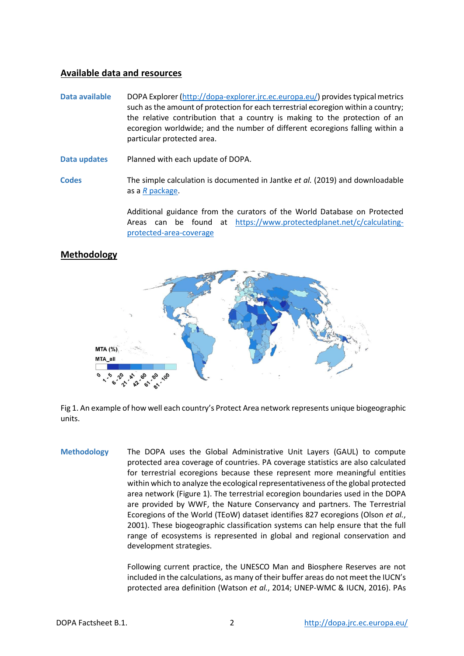## **Available data and resources**

- **Data available** DOPA Explorer [\(http://dopa-explorer.jrc.ec.europa.eu/\)](http://dopa-explorer.jrc.ec.europa.eu/) provides typical metrics such as the amount of protection for each terrestrial ecoregion within a country; the relative contribution that a country is making to the protection of an ecoregion worldwide; and the number of different ecoregions falling within a particular protected area.
- **Data updates** Planned with each update of DOPA.
- **Codes** The simple calculation is documented in Jantke *et al.* (2019) and downloadable as a *R* [package.](https://github.com/KerstinJantke/ConsTarget)

Additional guidance from the curators of the World Database on Protected Areas can be found at [https://www.protectedplanet.net/c/calculating](https://www.protectedplanet.net/c/calculating-protected-area-coverage)[protected-area-coverage](https://www.protectedplanet.net/c/calculating-protected-area-coverage)



## **Methodology**

Fig 1. An example of how well each country's Protect Area network represents unique biogeographic units.

**Methodology** The DOPA uses the Global Administrative Unit Layers (GAUL) to compute protected area coverage of countries. PA coverage statistics are also calculated for terrestrial ecoregions because these represent more meaningful entities within which to analyze the ecological representativeness of the global protected area network (Figure 1). The terrestrial ecoregion boundaries used in the DOPA are provided by WWF, the Nature Conservancy and partners. The Terrestrial Ecoregions of the World (TEoW) dataset identifies 827 ecoregions (Olson *et al.*, 2001). These biogeographic classification systems can help ensure that the full range of ecosystems is represented in global and regional conservation and development strategies.

> Following current practice, the UNESCO Man and Biosphere Reserves are not included in the calculations, as many of their buffer areas do not meet the IUCN's protected area definition (Watson *et al.*, 2014; UNEP-WMC & IUCN, 2016). PAs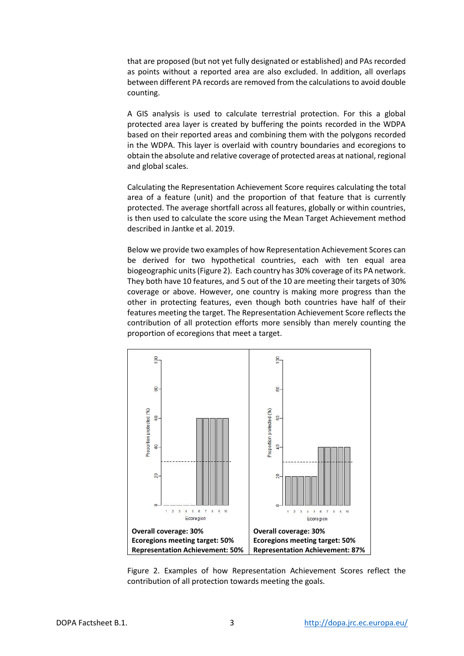that are proposed (but not yet fully designated or established) and PAs recorded as points without a reported area are also excluded. In addition, all overlaps between different PA records are removed from the calculations to avoid double counting.

A GIS analysis is used to calculate terrestrial protection. For this a global protected area layer is created by buffering the points recorded in the WDPA based on their reported areas and combining them with the polygons recorded in the WDPA. This layer is overlaid with country boundaries and ecoregions to obtain the absolute and relative coverage of protected areas at national, regional and global scales.

Calculating the Representation Achievement Score requires calculating the total area of a feature (unit) and the proportion of that feature that is currently protected. The average shortfall across all features, globally or within countries, is then used to calculate the score using the Mean Target Achievement method described in Jantke et al. 2019.

Below we provide two examples of how Representation Achievement Scores can be derived for two hypothetical countries, each with ten equal area biogeographic units (Figure 2). Each country has 30% coverage of its PA network. They both have 10 features, and 5 out of the 10 are meeting their targets of 30% coverage or above. However, one country is making more progress than the other in protecting features, even though both countries have half of their features meeting the target. The Representation Achievement Score reflects the contribution of all protection efforts more sensibly than merely counting the proportion of ecoregions that meet a target.



Figure 2. Examples of how Representation Achievement Scores reflect the contribution of all protection towards meeting the goals.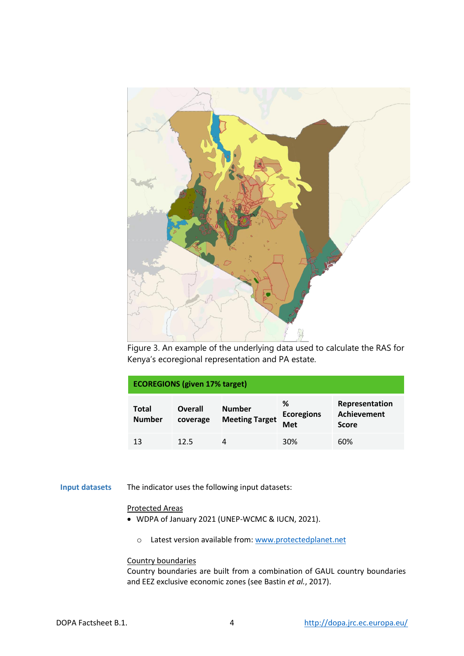

Figure 3. An example of the underlying data used to calculate the RAS for Kenya's ecoregional representation and PA estate.

| <b>ECOREGIONS (given 17% target)</b> |                     |                                        |                                      |                                               |  |
|--------------------------------------|---------------------|----------------------------------------|--------------------------------------|-----------------------------------------------|--|
| Total<br><b>Number</b>               | Overall<br>coverage | <b>Number</b><br><b>Meeting Target</b> | %<br><b>Ecoregions</b><br><b>Met</b> | Representation<br>Achievement<br><b>Score</b> |  |
| 13                                   | 12.5                | 4                                      | 30%                                  | 60%                                           |  |

#### **Input datasets** The indicator uses the following input datasets:

#### Protected Areas

- WDPA of January 2021 (UNEP-WCMC & IUCN, 2021).
	- o Latest version available from[: www.protectedplanet.net](http://www.protectedplanet.net/)

### Country boundaries

Country boundaries are built from a combination of GAUL country boundaries and EEZ exclusive economic zones (see Bastin *et al.*, 2017).